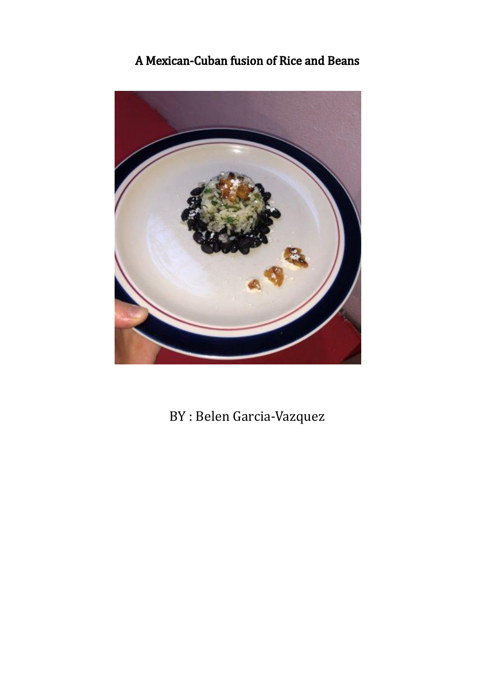#### A Mexican-Cuban fusion of Rice and Beans



BY : Belen Garcia-Vazquez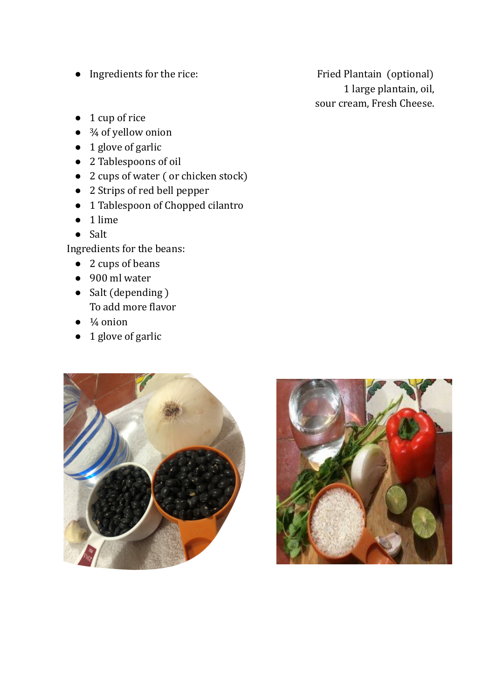• Ingredients for the rice: Fried Plantain (optional)

1 large plantain, oil, sour cream, Fresh Cheese.

- 1 cup of rice
- <sup>3</sup>⁄<sub>4</sub> of yellow onion
- 1 glove of garlic
- 2 Tablespoons of oil
- 2 cups of water ( or chicken stock)
- 2 Strips of red bell pepper
- 1 Tablespoon of Chopped cilantro
- 1 lime
- Salt

Ingredients for the beans:

- 2 cups of beans
- 900 ml water
- Salt (depending) To add more flavor
- $\bullet$   $\frac{1}{4}$  onion
- 1 glove of garlic



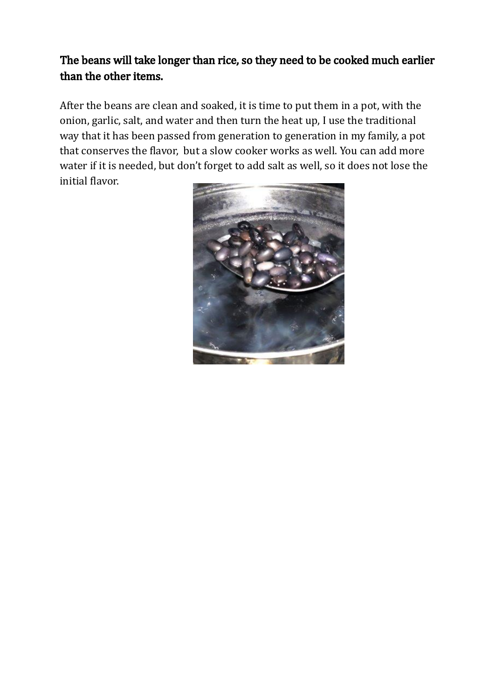#### The beans will take longer than rice, so they need to be cooked much earlier than the other items.

After the beans are clean and soaked, it is time to put them in a pot, with the onion, garlic, salt, and water and then turn the heat up, I use the traditional way that it has been passed from generation to generation in my family, a pot that conserves the flavor, but a slow cooker works as well. You can add more water if it is needed, but don't forget to add salt as well, so it does not lose the initial flavor.

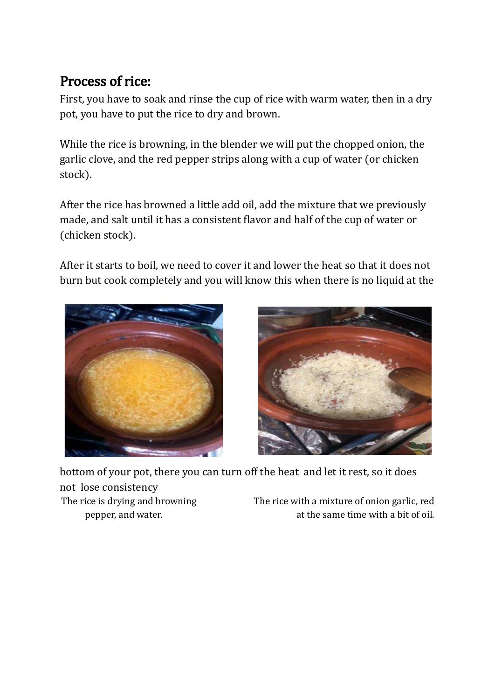### Process of rice:

First, you have to soak and rinse the cup of rice with warm water, then in a dry pot, you have to put the rice to dry and brown.

While the rice is browning, in the blender we will put the chopped onion, the garlic clove, and the red pepper strips along with a cup of water (or chicken stock).

After the rice has browned a little add oil, add the mixture that we previously made, and salt until it has a consistent flavor and half of the cup of water or (chicken stock).

After it starts to boil, we need to cover it and lower the heat so that it does not burn but cook completely and you will know this when there is no liquid at the





bottom of your pot, there you can turn off the heat and let it rest, so it does not lose consistency The rice is drying and browning The rice with a mixture of onion garlic, red

pepper, and water. at the same time with a bit of oil.